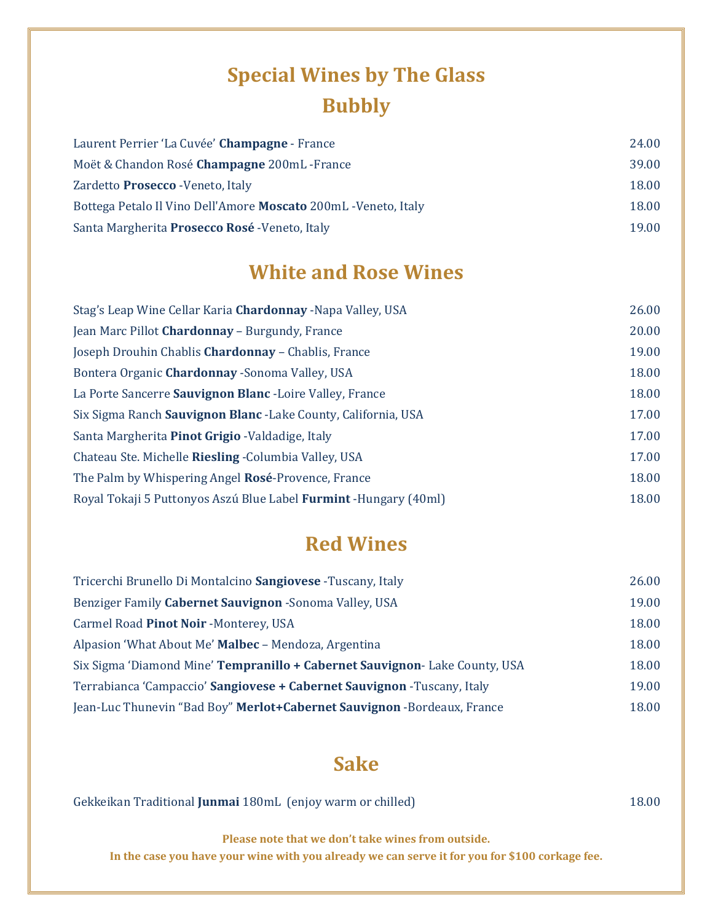# **Special Wines by The Glass Bubbly**

| Laurent Perrier 'La Cuvée' Champagne - France                   | 24.00 |
|-----------------------------------------------------------------|-------|
| Moët & Chandon Rosé <b>Champagne</b> 200mL - France             | 39.00 |
| Zardetto Prosecco - Veneto, Italy                               | 18.00 |
| Bottega Petalo Il Vino Dell'Amore Moscato 200mL - Veneto, Italy | 18.00 |
| Santa Margherita Prosecco Rosé - Veneto, Italy                  | 19.00 |

#### **White and Rose Wines**

| Stag's Leap Wine Cellar Karia Chardonnay - Napa Valley, USA       | 26.00 |
|-------------------------------------------------------------------|-------|
| Jean Marc Pillot Chardonnay - Burgundy, France                    | 20.00 |
| Joseph Drouhin Chablis Chardonnay - Chablis, France               | 19.00 |
| Bontera Organic Chardonnay - Sonoma Valley, USA                   | 18.00 |
| La Porte Sancerre Sauvignon Blanc - Loire Valley, France          | 18.00 |
| Six Sigma Ranch Sauvignon Blanc - Lake County, California, USA    | 17.00 |
| Santa Margherita Pinot Grigio - Valdadige, Italy                  |       |
| Chateau Ste. Michelle Riesling - Columbia Valley, USA             | 17.00 |
| The Palm by Whispering Angel Rosé-Provence, France                | 18.00 |
| Royal Tokaji 5 Puttonyos Aszú Blue Label Furmint - Hungary (40ml) | 18.00 |

#### **Red Wines**

| Tricerchi Brunello Di Montalcino Sangiovese - Tuscany, Italy                | 26.00 |
|-----------------------------------------------------------------------------|-------|
| Benziger Family Cabernet Sauvignon - Sonoma Valley, USA                     | 19.00 |
| Carmel Road Pinot Noir - Monterey, USA                                      |       |
| Alpasion 'What About Me' Malbec - Mendoza, Argentina                        |       |
| Six Sigma 'Diamond Mine' Tempranillo + Cabernet Sauvignon- Lake County, USA |       |
| Terrabianca 'Campaccio' Sangiovese + Cabernet Sauvignon -Tuscany, Italy     |       |
| Jean-Luc Thunevin "Bad Boy" Merlot+Cabernet Sauvignon -Bordeaux, France     | 18.00 |

#### **Sake**

| Gekkeikan Traditional Junmai 180mL (enjoy warm or chilled) | 18.00 |  |
|------------------------------------------------------------|-------|--|
|                                                            |       |  |

**Please note that we don't take wines from outside.** 

**In the case you have your wine with you already we can serve it for you for \$100 corkage fee.**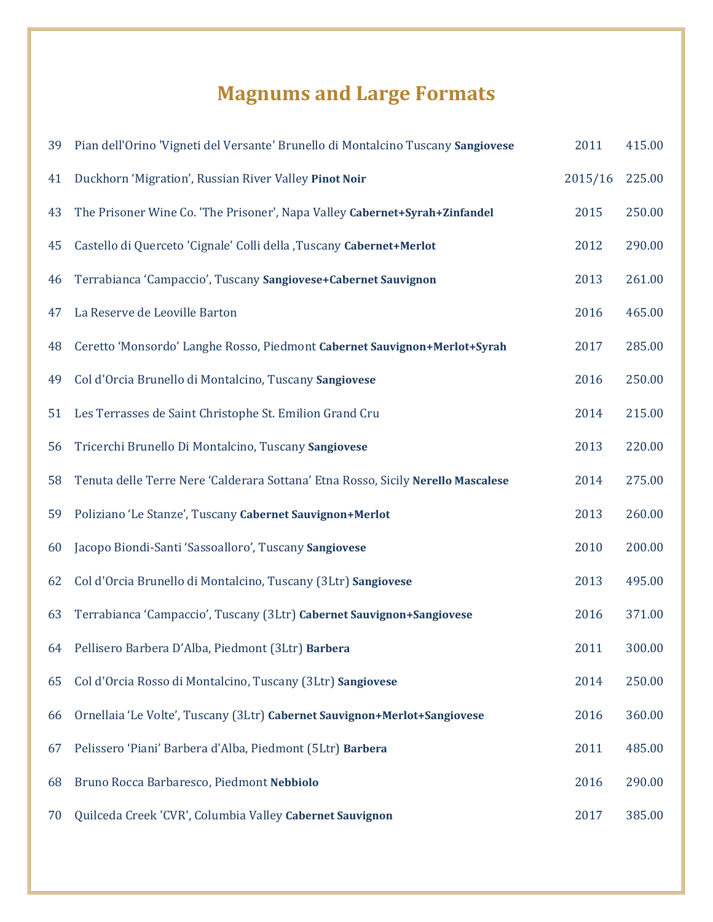# **Magnums and Large Formats**

| 39 | Pian dell'Orino 'Vigneti del Versante' Brunello di Montalcino Tuscany Sangiovese | 2011    | 415.00 |
|----|----------------------------------------------------------------------------------|---------|--------|
| 41 | Duckhorn 'Migration', Russian River Valley Pinot Noir                            | 2015/16 | 225.00 |
| 43 | The Prisoner Wine Co. 'The Prisoner', Napa Valley Cabernet+Syrah+Zinfandel       | 2015    | 250.00 |
| 45 | Castello di Querceto 'Cignale' Colli della , Tuscany Cabernet+Merlot             | 2012    | 290.00 |
| 46 | Terrabianca 'Campaccio', Tuscany Sangiovese+Cabernet Sauvignon                   | 2013    | 261.00 |
| 47 | La Reserve de Leoville Barton                                                    | 2016    | 465.00 |
| 48 | Ceretto 'Monsordo' Langhe Rosso, Piedmont Cabernet Sauvignon+Merlot+Syrah        | 2017    | 285.00 |
| 49 | Col d'Orcia Brunello di Montalcino, Tuscany Sangiovese                           | 2016    | 250.00 |
| 51 | Les Terrasses de Saint Christophe St. Emilion Grand Cru                          | 2014    | 215.00 |
| 56 | Tricerchi Brunello Di Montalcino, Tuscany Sangiovese                             | 2013    | 220.00 |
| 58 | Tenuta delle Terre Nere 'Calderara Sottana' Etna Rosso, Sicily Nerello Mascalese | 2014    | 275.00 |
| 59 | Poliziano 'Le Stanze', Tuscany Cabernet Sauvignon+Merlot                         | 2013    | 260.00 |
| 60 | Jacopo Biondi-Santi 'Sassoalloro', Tuscany Sangiovese                            | 2010    | 200.00 |
| 62 | Col d'Orcia Brunello di Montalcino, Tuscany (3Ltr) Sangiovese                    | 2013    | 495.00 |
| 63 | Terrabianca 'Campaccio', Tuscany (3Ltr) Cabernet Sauvignon+Sangiovese            | 2016    | 371.00 |
| 64 | Pellisero Barbera D'Alba, Piedmont (3Ltr) Barbera                                | 2011    | 300.00 |
| 65 | Col d'Orcia Rosso di Montalcino, Tuscany (3Ltr) Sangiovese                       | 2014    | 250.00 |
| 66 | Ornellaia 'Le Volte', Tuscany (3Ltr) Cabernet Sauvignon+Merlot+Sangiovese        | 2016    | 360.00 |
| 67 | Pelissero 'Piani' Barbera d'Alba, Piedmont (5Ltr) Barbera                        | 2011    | 485.00 |
| 68 | Bruno Rocca Barbaresco, Piedmont Nebbiolo                                        | 2016    | 290.00 |
| 70 | Quilceda Creek 'CVR', Columbia Valley Cabernet Sauvignon                         | 2017    | 385.00 |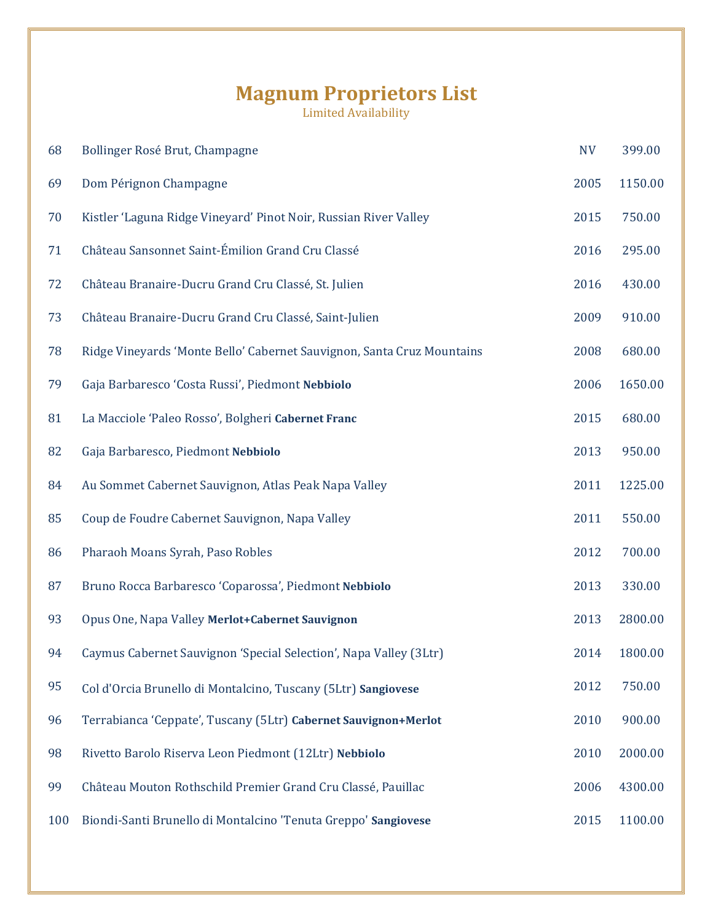#### **Magnum Proprietors List**

| 68  | Bollinger Rosé Brut, Champagne                                         | <b>NV</b> | 399.00  |
|-----|------------------------------------------------------------------------|-----------|---------|
| 69  | Dom Pérignon Champagne                                                 | 2005      | 1150.00 |
| 70  | Kistler 'Laguna Ridge Vineyard' Pinot Noir, Russian River Valley       | 2015      | 750.00  |
| 71  | Château Sansonnet Saint-Émilion Grand Cru Classé                       | 2016      | 295.00  |
| 72  | Château Branaire-Ducru Grand Cru Classé, St. Julien                    | 2016      | 430.00  |
| 73  | Château Branaire-Ducru Grand Cru Classé, Saint-Julien                  | 2009      | 910.00  |
| 78  | Ridge Vineyards 'Monte Bello' Cabernet Sauvignon, Santa Cruz Mountains | 2008      | 680.00  |
| 79  | Gaja Barbaresco 'Costa Russi', Piedmont Nebbiolo                       | 2006      | 1650.00 |
| 81  | La Macciole 'Paleo Rosso', Bolgheri Cabernet Franc                     | 2015      | 680.00  |
| 82  | Gaja Barbaresco, Piedmont Nebbiolo                                     | 2013      | 950.00  |
| 84  | Au Sommet Cabernet Sauvignon, Atlas Peak Napa Valley                   | 2011      | 1225.00 |
| 85  | Coup de Foudre Cabernet Sauvignon, Napa Valley                         | 2011      | 550.00  |
| 86  | Pharaoh Moans Syrah, Paso Robles                                       | 2012      | 700.00  |
| 87  | Bruno Rocca Barbaresco 'Coparossa', Piedmont Nebbiolo                  | 2013      | 330.00  |
| 93  | Opus One, Napa Valley Merlot+Cabernet Sauvignon                        | 2013      | 2800.00 |
| 94  | Caymus Cabernet Sauvignon 'Special Selection', Napa Valley (3Ltr)      | 2014      | 1800.00 |
| 95  | Col d'Orcia Brunello di Montalcino, Tuscany (5Ltr) Sangiovese          | 2012      | 750.00  |
| 96  | Terrabianca 'Ceppate', Tuscany (5Ltr) Cabernet Sauvignon+Merlot        | 2010      | 900.00  |
| 98  | Rivetto Barolo Riserva Leon Piedmont (12Ltr) Nebbiolo                  | 2010      | 2000.00 |
| 99  | Château Mouton Rothschild Premier Grand Cru Classé, Pauillac           | 2006      | 4300.00 |
| 100 | Biondi-Santi Brunello di Montalcino 'Tenuta Greppo' Sangiovese         | 2015      | 1100.00 |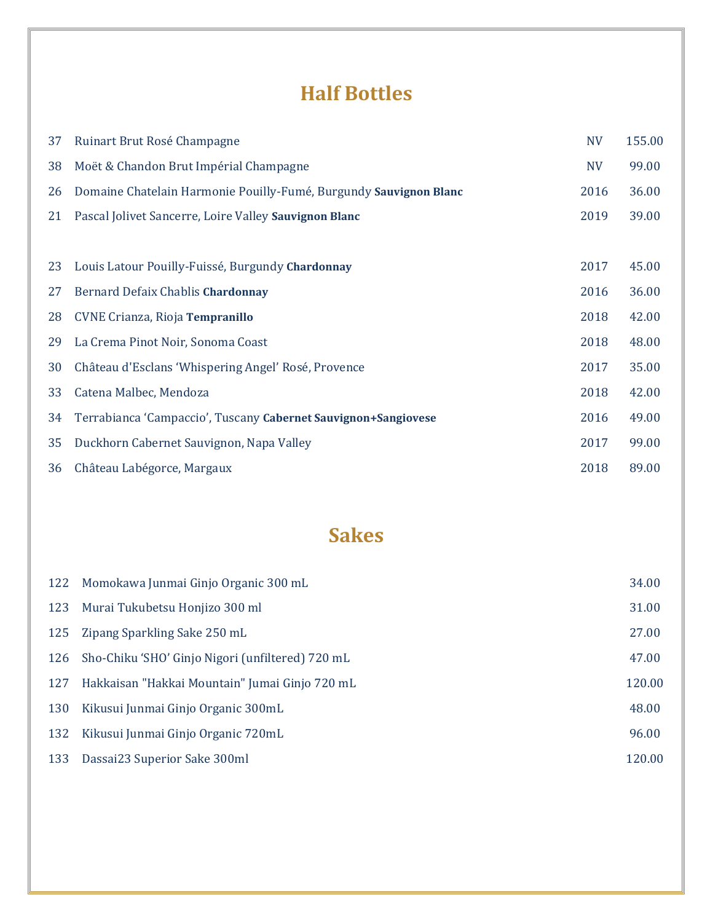## **Half Bottles**

| 37 | Ruinart Brut Rosé Champagne                                       | <b>NV</b> | 155.00 |
|----|-------------------------------------------------------------------|-----------|--------|
| 38 | Moët & Chandon Brut Impérial Champagne                            | <b>NV</b> | 99.00  |
| 26 | Domaine Chatelain Harmonie Pouilly-Fumé, Burgundy Sauvignon Blanc | 2016      | 36.00  |
| 21 | Pascal Jolivet Sancerre, Loire Valley Sauvignon Blanc             | 2019      | 39.00  |
|    |                                                                   |           |        |
| 23 | Louis Latour Pouilly-Fuissé, Burgundy Chardonnay                  | 2017      | 45.00  |
| 27 | Bernard Defaix Chablis Chardonnay                                 | 2016      | 36.00  |
| 28 | CVNE Crianza, Rioja Tempranillo                                   | 2018      | 42.00  |
| 29 | La Crema Pinot Noir, Sonoma Coast                                 | 2018      | 48.00  |
| 30 | Château d'Esclans 'Whispering Angel' Rosé, Provence               | 2017      | 35.00  |
| 33 | Catena Malbec, Mendoza                                            | 2018      | 42.00  |
| 34 | Terrabianca 'Campaccio', Tuscany Cabernet Sauvignon+Sangiovese    | 2016      | 49.00  |
| 35 | Duckhorn Cabernet Sauvignon, Napa Valley                          | 2017      | 99.00  |
| 36 | Château Labégorce, Margaux                                        | 2018      | 89.00  |

## **Sakes**

| 122 | Momokawa Junmai Ginjo Organic 300 mL             | 34.00  |
|-----|--------------------------------------------------|--------|
| 123 | Murai Tukubetsu Honjizo 300 ml                   | 31.00  |
| 125 | Zipang Sparkling Sake 250 mL                     | 27.00  |
| 126 | Sho-Chiku 'SHO' Ginjo Nigori (unfiltered) 720 mL | 47.00  |
| 127 | Hakkaisan "Hakkai Mountain" Jumai Ginjo 720 mL   | 120.00 |
| 130 | Kikusui Junmai Ginjo Organic 300mL               | 48.00  |
| 132 | Kikusui Junmai Ginjo Organic 720mL               | 96.00  |
| 133 | Dassai23 Superior Sake 300ml                     | 120.00 |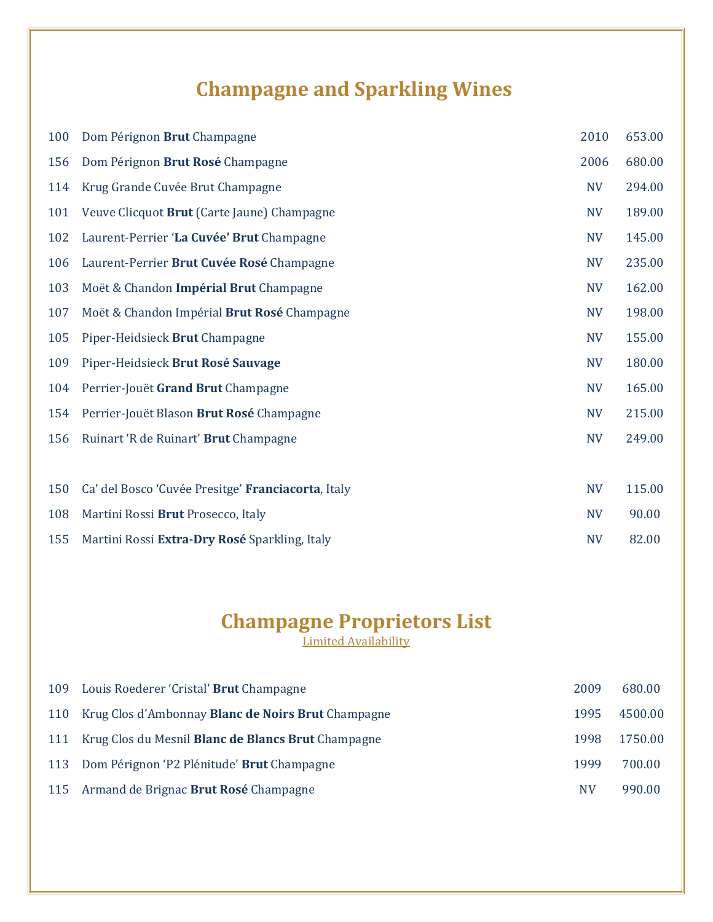# **Champagne and Sparkling Wines**

| 100 | Dom Pérignon Brut Champagne                        | 2010      | 653.00 |
|-----|----------------------------------------------------|-----------|--------|
| 156 | Dom Pérignon Brut Rosé Champagne                   | 2006      | 680.00 |
| 114 | Krug Grande Cuvée Brut Champagne                   | <b>NV</b> | 294.00 |
| 101 | Veuve Clicquot Brut (Carte Jaune) Champagne        | <b>NV</b> | 189.00 |
| 102 | Laurent-Perrier 'La Cuvée' Brut Champagne          | <b>NV</b> | 145.00 |
| 106 | Laurent-Perrier Brut Cuvée Rosé Champagne          | <b>NV</b> | 235.00 |
| 103 | Moët & Chandon Impérial Brut Champagne             | <b>NV</b> | 162.00 |
| 107 | Moët & Chandon Impérial Brut Rosé Champagne        | <b>NV</b> | 198.00 |
| 105 | Piper-Heidsieck Brut Champagne                     | <b>NV</b> | 155.00 |
| 109 | Piper-Heidsieck Brut Rosé Sauvage                  | <b>NV</b> | 180.00 |
| 104 | Perrier-Jouët Grand Brut Champagne                 | <b>NV</b> | 165.00 |
| 154 | Perrier-Jouët Blason Brut Rosé Champagne           | <b>NV</b> | 215.00 |
| 156 | Ruinart 'R de Ruinart' Brut Champagne              | <b>NV</b> | 249.00 |
|     |                                                    |           |        |
| 150 | Ca' del Bosco 'Cuvée Presitge' Franciacorta, Italy | <b>NV</b> | 115.00 |
| 108 | Martini Rossi Brut Prosecco, Italy                 | <b>NV</b> | 90.00  |
| 155 | Martini Rossi Extra-Dry Rosé Sparkling, Italy      | <b>NV</b> | 82.00  |

## **Champagne Proprietors List**

| 109 | Louis Roederer 'Cristal' <b>Brut</b> Champagne            | 2009 | 680.00  |
|-----|-----------------------------------------------------------|------|---------|
| 110 | Krug Clos d'Ambonnay <b>Blanc de Noirs Brut</b> Champagne | 1995 | 4500.00 |
|     | 111 Krug Clos du Mesnil Blanc de Blancs Brut Champagne    | 1998 | 1750.00 |
|     | 113 Dom Pérignon 'P2 Plénitude' Brut Champagne            | 1999 | 700.00  |
|     | 115 Armand de Brignac Brut Rosé Champagne                 | NV   | 990.00  |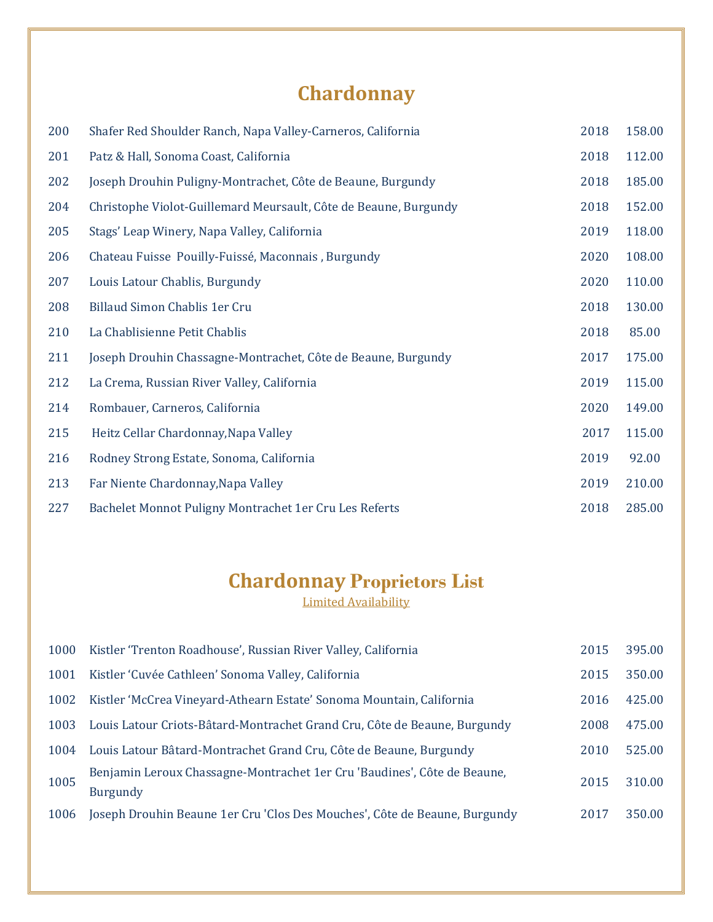# **Chardonnay**

| 200 | Shafer Red Shoulder Ranch, Napa Valley-Carneros, California      | 2018 | 158.00 |
|-----|------------------------------------------------------------------|------|--------|
| 201 | Patz & Hall, Sonoma Coast, California                            | 2018 | 112.00 |
| 202 | Joseph Drouhin Puligny-Montrachet, Côte de Beaune, Burgundy      | 2018 | 185.00 |
| 204 | Christophe Violot-Guillemard Meursault, Côte de Beaune, Burgundy | 2018 | 152.00 |
| 205 | Stags' Leap Winery, Napa Valley, California                      | 2019 | 118.00 |
| 206 | Chateau Fuisse Pouilly-Fuissé, Maconnais, Burgundy               | 2020 | 108.00 |
| 207 | Louis Latour Chablis, Burgundy                                   | 2020 | 110.00 |
| 208 | Billaud Simon Chablis 1er Cru                                    | 2018 | 130.00 |
| 210 | La Chablisienne Petit Chablis                                    | 2018 | 85.00  |
| 211 | Joseph Drouhin Chassagne-Montrachet, Côte de Beaune, Burgundy    | 2017 | 175.00 |
| 212 | La Crema, Russian River Valley, California                       | 2019 | 115.00 |
| 214 | Rombauer, Carneros, California                                   | 2020 | 149.00 |
| 215 | Heitz Cellar Chardonnay, Napa Valley                             | 2017 | 115.00 |
| 216 | Rodney Strong Estate, Sonoma, California                         | 2019 | 92.00  |
| 213 | Far Niente Chardonnay, Napa Valley                               | 2019 | 210.00 |
| 227 | Bachelet Monnot Puligny Montrachet 1er Cru Les Referts           | 2018 | 285.00 |

#### **Chardonnay Proprietors List**

| 1000 | Kistler 'Trenton Roadhouse', Russian River Valley, California                               | 2015 | 395.00 |
|------|---------------------------------------------------------------------------------------------|------|--------|
| 1001 | Kistler 'Cuvée Cathleen' Sonoma Valley, California                                          | 2015 | 350.00 |
| 1002 | Kistler 'McCrea Vineyard-Athearn Estate' Sonoma Mountain, California                        | 2016 | 425.00 |
| 1003 | Louis Latour Criots-Bâtard-Montrachet Grand Cru, Côte de Beaune, Burgundy                   | 2008 | 475.00 |
| 1004 | Louis Latour Bâtard-Montrachet Grand Cru, Côte de Beaune, Burgundy                          | 2010 | 525.00 |
| 1005 | Benjamin Leroux Chassagne-Montrachet 1er Cru 'Baudines', Côte de Beaune,<br><b>Burgundy</b> | 2015 | 310.00 |
| 1006 | Joseph Drouhin Beaune 1er Cru 'Clos Des Mouches', Côte de Beaune, Burgundy                  | 2017 | 350.00 |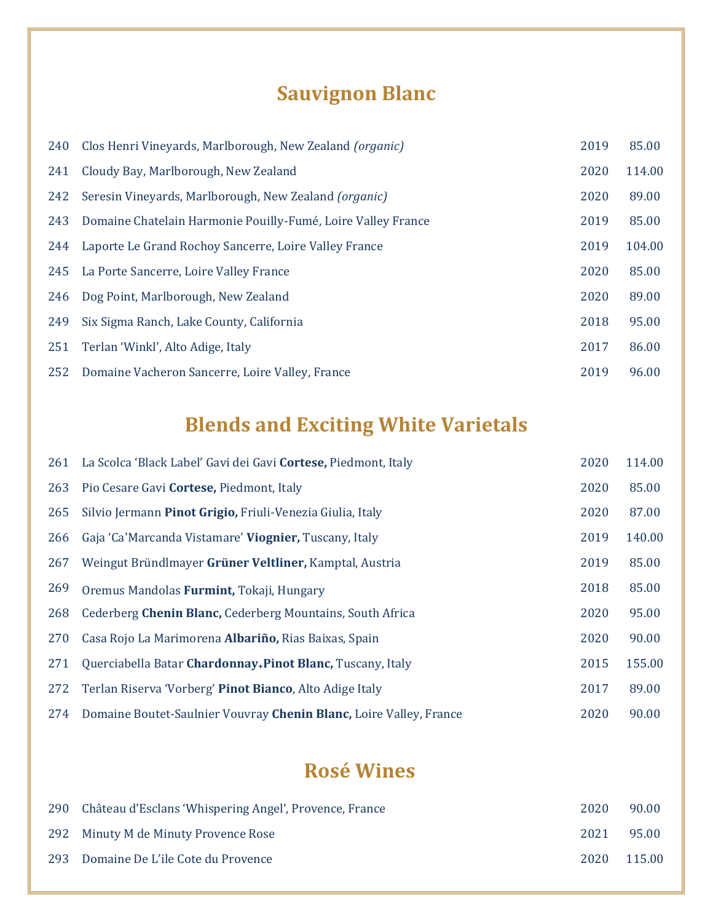# **Sauvignon Blanc**

| 240 | Clos Henri Vineyards, Marlborough, New Zealand (organic)     | 2019 | 85.00  |
|-----|--------------------------------------------------------------|------|--------|
| 241 | Cloudy Bay, Marlborough, New Zealand                         | 2020 | 114.00 |
| 242 | Seresin Vineyards, Marlborough, New Zealand (organic)        | 2020 | 89.00  |
| 243 | Domaine Chatelain Harmonie Pouilly-Fumé, Loire Valley France | 2019 | 85.00  |
| 244 | Laporte Le Grand Rochoy Sancerre, Loire Valley France        | 2019 | 104.00 |
| 245 | La Porte Sancerre, Loire Valley France                       | 2020 | 85.00  |
| 246 | Dog Point, Marlborough, New Zealand                          | 2020 | 89.00  |
| 249 | Six Sigma Ranch, Lake County, California                     | 2018 | 95.00  |
| 251 | Terlan 'Winkl', Alto Adige, Italy                            | 2017 | 86.00  |
| 252 | Domaine Vacheron Sancerre, Loire Valley, France              | 2019 | 96.00  |

# **Blends and Exciting White Varietals**

| 261 | La Scolca 'Black Label' Gavi dei Gavi Cortese, Piedmont, Italy         | 2020 | 114.00 |
|-----|------------------------------------------------------------------------|------|--------|
| 263 | Pio Cesare Gavi Cortese, Piedmont, Italy                               | 2020 | 85.00  |
| 265 | Silvio Jermann Pinot Grigio, Friuli-Venezia Giulia, Italy              | 2020 | 87.00  |
| 266 | Gaja 'Ca'Marcanda Vistamare' Viognier, Tuscany, Italy                  | 2019 | 140.00 |
| 267 | Weingut Bründlmayer Grüner Veltliner, Kamptal, Austria                 | 2019 | 85.00  |
| 269 | Oremus Mandolas Furmint, Tokaji, Hungary                               | 2018 | 85.00  |
| 268 | Cederberg Chenin Blanc, Cederberg Mountains, South Africa              | 2020 | 95.00  |
| 270 | Casa Rojo La Marimorena Albariño, Rias Baixas, Spain                   | 2020 | 90.00  |
| 271 | Querciabella Batar Chardonnay <sub>+</sub> Pinot Blanc, Tuscany, Italy | 2015 | 155.00 |
| 272 | Terlan Riserva 'Vorberg' Pinot Bianco, Alto Adige Italy                | 2017 | 89.00  |
| 274 | Domaine Boutet-Saulnier Vouvray Chenin Blanc, Loire Valley, France     | 2020 | 90.00  |

### **Rosé Wines**

| 290 Château d'Esclans 'Whispering Angel', Provence, France | 2020 | 90.00  |
|------------------------------------------------------------|------|--------|
| 292 Minuty M de Minuty Provence Rose                       | 2021 | 95.00  |
| 293 Domaine De L'ile Cote du Provence                      | 2020 | 115.00 |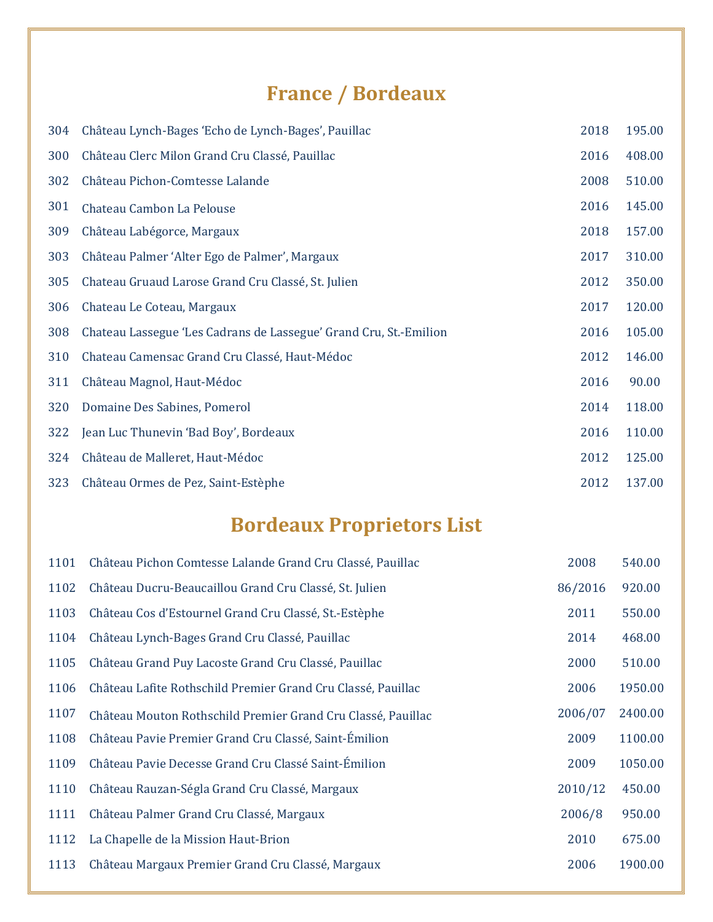## **France / Bordeaux**

| 304 | Château Lynch-Bages 'Echo de Lynch-Bages', Pauillac               | 2018 | 195.00 |
|-----|-------------------------------------------------------------------|------|--------|
| 300 | Château Clerc Milon Grand Cru Classé, Pauillac                    | 2016 | 408.00 |
| 302 | Château Pichon-Comtesse Lalande                                   | 2008 | 510.00 |
| 301 | Chateau Cambon La Pelouse                                         | 2016 | 145.00 |
| 309 | Château Labégorce, Margaux                                        | 2018 | 157.00 |
| 303 | Château Palmer 'Alter Ego de Palmer', Margaux                     | 2017 | 310.00 |
| 305 | Chateau Gruaud Larose Grand Cru Classé, St. Julien                | 2012 | 350.00 |
| 306 | Chateau Le Coteau, Margaux                                        | 2017 | 120.00 |
| 308 | Chateau Lassegue 'Les Cadrans de Lassegue' Grand Cru, St.-Emilion | 2016 | 105.00 |
| 310 | Chateau Camensac Grand Cru Classé, Haut-Médoc                     | 2012 | 146.00 |
| 311 | Château Magnol, Haut-Médoc                                        | 2016 | 90.00  |
| 320 | Domaine Des Sabines, Pomerol                                      | 2014 | 118.00 |
| 322 | Jean Luc Thunevin 'Bad Boy', Bordeaux                             | 2016 | 110.00 |
| 324 | Château de Malleret, Haut-Médoc                                   | 2012 | 125.00 |
| 323 | Château Ormes de Pez, Saint-Estèphe                               | 2012 | 137.00 |

# **Bordeaux Proprietors List**

| Château Pichon Comtesse Lalande Grand Cru Classé, Pauillac   | 2008    | 540.00  |
|--------------------------------------------------------------|---------|---------|
| Château Ducru-Beaucaillou Grand Cru Classé, St. Julien       | 86/2016 | 920.00  |
| Château Cos d'Estournel Grand Cru Classé, St.-Estèphe        | 2011    | 550.00  |
| Château Lynch-Bages Grand Cru Classé, Pauillac               | 2014    | 468.00  |
| Château Grand Puy Lacoste Grand Cru Classé, Pauillac         | 2000    | 510.00  |
| Château Lafite Rothschild Premier Grand Cru Classé, Pauillac | 2006    | 1950.00 |
| Château Mouton Rothschild Premier Grand Cru Classé, Pauillac | 2006/07 | 2400.00 |
| Château Pavie Premier Grand Cru Classé, Saint-Émilion        | 2009    | 1100.00 |
| Château Pavie Decesse Grand Cru Classé Saint-Émilion         | 2009    | 1050.00 |
| Château Rauzan-Ségla Grand Cru Classé, Margaux               | 2010/12 | 450.00  |
| Château Palmer Grand Cru Classé, Margaux                     | 2006/8  | 950.00  |
| La Chapelle de la Mission Haut-Brion                         | 2010    | 675.00  |
| Château Margaux Premier Grand Cru Classé, Margaux            | 2006    | 1900.00 |
|                                                              |         |         |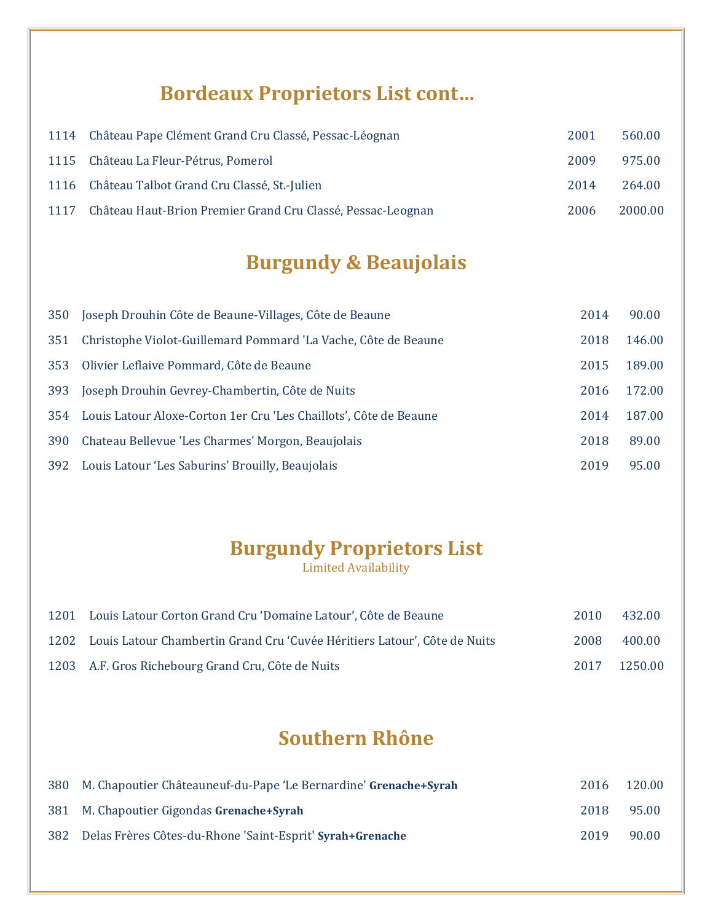### **Bordeaux Proprietors List cont…**

| 1114 Château Pape Clément Grand Cru Classé, Pessac-Léognan       | 2001 | 560.00  |
|------------------------------------------------------------------|------|---------|
| 1115 Château La Fleur-Pétrus, Pomerol                            | 2009 | 975.00  |
| 1116 Château Talbot Grand Cru Classé, St.-Julien                 | 2014 | 264.00  |
| 1117 Château Haut-Brion Premier Grand Cru Classé, Pessac-Leognan | 2006 | 2000.00 |

# **Burgundy & Beaujolais**

| 350 | Joseph Drouhin Côte de Beaune-Villages, Côte de Beaune            | 2014 | 90.00  |
|-----|-------------------------------------------------------------------|------|--------|
| 351 | Christophe Violot-Guillemard Pommard 'La Vache, Côte de Beaune    | 2018 | 146.00 |
| 353 | Olivier Leflaive Pommard, Côte de Beaune                          | 2015 | 189.00 |
| 393 | Joseph Drouhin Gevrey-Chambertin, Côte de Nuits                   | 2016 | 172.00 |
| 354 | Louis Latour Aloxe-Corton 1er Cru 'Les Chaillots', Côte de Beaune | 2014 | 187.00 |
| 390 | Chateau Bellevue 'Les Charmes' Morgon, Beaujolais                 | 2018 | 89.00  |
| 392 | Louis Latour 'Les Saburins' Brouilly, Beaujolais                  | 2019 | 95.00  |

### **Burgundy Proprietors List**

Limited Availability

| 1201 | Louis Latour Corton Grand Cru 'Domaine Latour', Côte de Beaune            | 2010 | 432.00  |
|------|---------------------------------------------------------------------------|------|---------|
| 1202 | Louis Latour Chambertin Grand Cru 'Cuvée Héritiers Latour', Côte de Nuits | 2008 | 400.00  |
|      | 1203 A.F. Gros Richebourg Grand Cru, Côte de Nuits                        | 2017 | 1250.00 |

### **Southern Rhône**

| 380 M. Chapoutier Châteauneuf-du-Pape 'Le Bernardine' Grenache+Syrah | 2016 | 120.00 |
|----------------------------------------------------------------------|------|--------|
| 381 M. Chapoutier Gigondas Grenache+Syrah                            | 2018 | 95.00  |
| 382 Delas Frères Côtes-du-Rhone 'Saint-Esprit' Syrah+Grenache        | 2019 | 90.00  |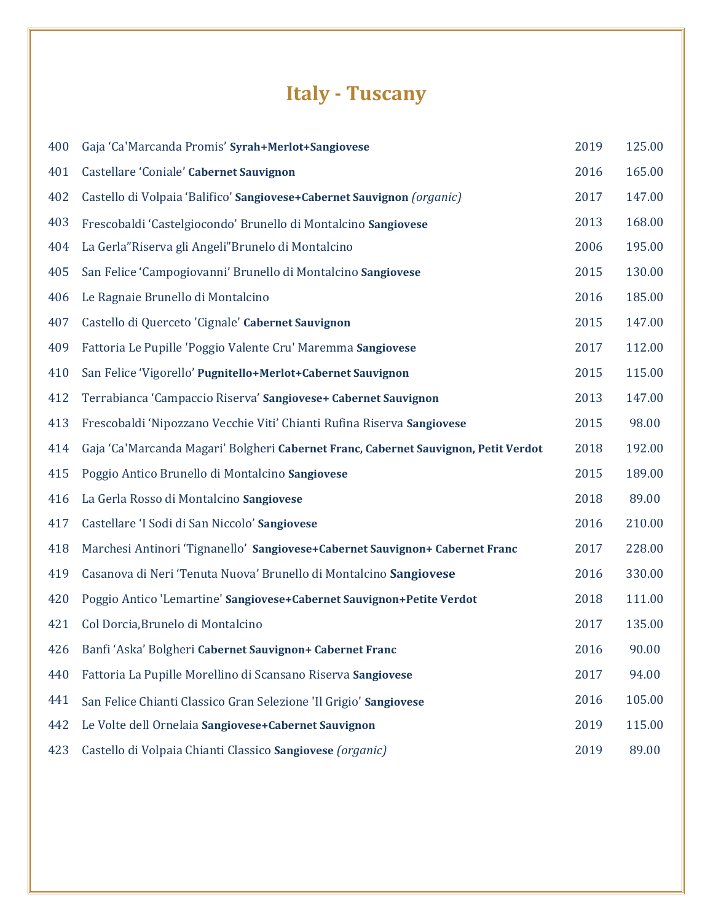# **Italy - Tuscany**

| 400 | Gaja 'Ca'Marcanda Promis' Syrah+Merlot+Sangiovese                                   | 2019 | 125.00 |
|-----|-------------------------------------------------------------------------------------|------|--------|
| 401 | Castellare 'Coniale' Cabernet Sauvignon                                             | 2016 | 165.00 |
| 402 | Castello di Volpaia 'Balifico' Sangiovese+Cabernet Sauvignon (organic)              | 2017 | 147.00 |
| 403 | Frescobaldi 'Castelgiocondo' Brunello di Montalcino Sangiovese                      | 2013 | 168.00 |
| 404 | La Gerla"Riserva gli Angeli"Brunelo di Montalcino                                   | 2006 | 195.00 |
| 405 | San Felice 'Campogiovanni' Brunello di Montalcino Sangiovese                        | 2015 | 130.00 |
| 406 | Le Ragnaie Brunello di Montalcino                                                   | 2016 | 185.00 |
| 407 | Castello di Querceto 'Cignale' Cabernet Sauvignon                                   | 2015 | 147.00 |
| 409 | Fattoria Le Pupille 'Poggio Valente Cru' Maremma Sangiovese                         | 2017 | 112.00 |
| 410 | San Felice 'Vigorello' Pugnitello+Merlot+Cabernet Sauvignon                         | 2015 | 115.00 |
| 412 | Terrabianca 'Campaccio Riserva' Sangiovese+ Cabernet Sauvignon                      | 2013 | 147.00 |
| 413 | Frescobaldi 'Nipozzano Vecchie Viti' Chianti Rufina Riserva Sangiovese              | 2015 | 98.00  |
| 414 | Gaja 'Ca'Marcanda Magari' Bolgheri Cabernet Franc, Cabernet Sauvignon, Petit Verdot | 2018 | 192.00 |
| 415 | Poggio Antico Brunello di Montalcino Sangiovese                                     | 2015 | 189.00 |
| 416 | La Gerla Rosso di Montalcino Sangiovese                                             | 2018 | 89.00  |
| 417 | Castellare 'I Sodi di San Niccolo' Sangiovese                                       | 2016 | 210.00 |
| 418 | Marchesi Antinori 'Tignanello' Sangiovese+Cabernet Sauvignon+ Cabernet Franc        | 2017 | 228.00 |
| 419 | Casanova di Neri 'Tenuta Nuova' Brunello di Montalcino Sangiovese                   | 2016 | 330.00 |
| 420 | Poggio Antico 'Lemartine' Sangiovese+Cabernet Sauvignon+Petite Verdot               | 2018 | 111.00 |
| 421 | Col Dorcia, Brunelo di Montalcino                                                   | 2017 | 135.00 |
| 426 | Banfi 'Aska' Bolgheri Cabernet Sauvignon+ Cabernet Franc                            | 2016 | 90.00  |
| 440 | Fattoria La Pupille Morellino di Scansano Riserva Sangiovese                        | 2017 | 94.00  |
| 441 | San Felice Chianti Classico Gran Selezione 'Il Grigio' Sangiovese                   | 2016 | 105.00 |
| 442 | Le Volte dell Ornelaia Sangiovese+Cabernet Sauvignon                                | 2019 | 115.00 |
| 423 | Castello di Volpaia Chianti Classico Sangiovese (organic)                           | 2019 | 89.00  |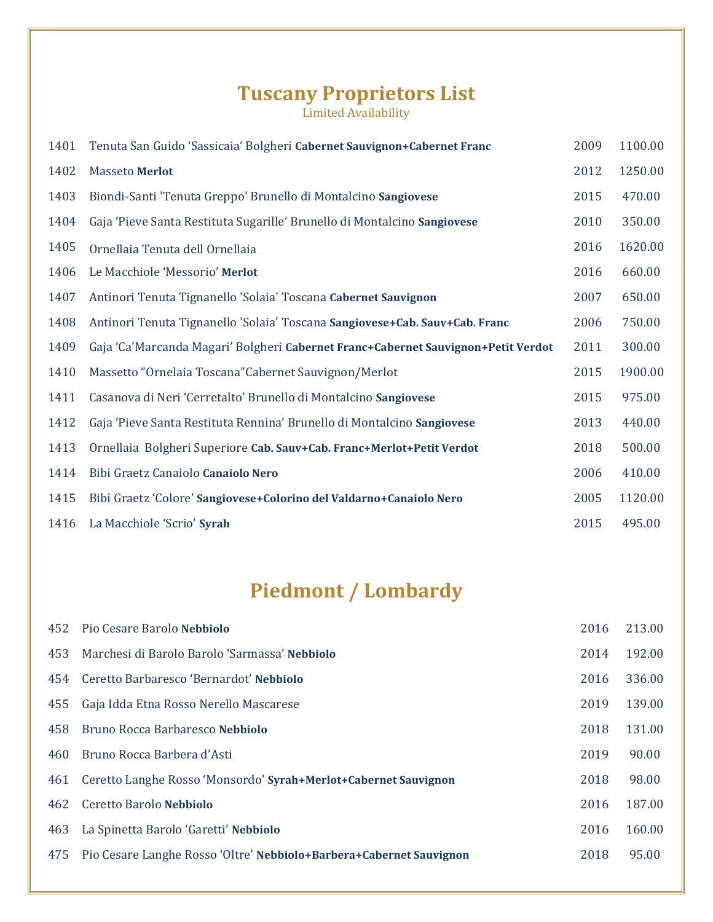### **Tuscany Proprietors List**

Limited Availability

| 1401 | Tenuta San Guido 'Sassicaia' Bolgheri Cabernet Sauvignon+Cabernet Franc           | 2009 | 1100.00 |
|------|-----------------------------------------------------------------------------------|------|---------|
| 1402 | <b>Masseto Merlot</b>                                                             | 2012 | 1250.00 |
| 1403 | Biondi-Santi 'Tenuta Greppo' Brunello di Montalcino Sangiovese                    | 2015 | 470.00  |
| 1404 | Gaja 'Pieve Santa Restituta Sugarille' Brunello di Montalcino Sangiovese          | 2010 | 350.00  |
| 1405 | Ornellaia Tenuta dell Ornellaia                                                   | 2016 | 1620.00 |
| 1406 | Le Macchiole 'Messorio' Merlot                                                    | 2016 | 660.00  |
| 1407 | Antinori Tenuta Tignanello 'Solaia' Toscana Cabernet Sauvignon                    | 2007 | 650.00  |
| 1408 | Antinori Tenuta Tignanello 'Solaia' Toscana Sangiovese+Cab. Sauv+Cab. Franc       | 2006 | 750.00  |
| 1409 | Gaja 'Ca'Marcanda Magari' Bolgheri Cabernet Franc+Cabernet Sauvignon+Petit Verdot | 2011 | 300.00  |
| 1410 | Massetto "Ornelaia Toscana" Cabernet Sauvignon/Merlot                             | 2015 | 1900.00 |
| 1411 | Casanova di Neri 'Cerretalto' Brunello di Montalcino Sangiovese                   | 2015 | 975.00  |
| 1412 | Gaja 'Pieve Santa Restituta Rennina' Brunello di Montalcino Sangiovese            | 2013 | 440.00  |
| 1413 | Ornellaia Bolgheri Superiore Cab. Sauv+Cab. Franc+Merlot+Petit Verdot             | 2018 | 500.00  |
| 1414 | Bibi Graetz Canaiolo Canaiolo Nero                                                | 2006 | 410.00  |
| 1415 | Bibi Graetz 'Colore' Sangiovese+Colorino del Valdarno+Canaiolo Nero               | 2005 | 1120.00 |
| 1416 | La Macchiole 'Scrio' Syrah                                                        | 2015 | 495.00  |

## **Piedmont / Lombardy**

| 452 | Pio Cesare Barolo Nebbiolo                                          | 2016 | 213.00 |
|-----|---------------------------------------------------------------------|------|--------|
| 453 | Marchesi di Barolo Barolo 'Sarmassa' Nebbiolo                       | 2014 | 192.00 |
| 454 | Ceretto Barbaresco 'Bernardot' Nebbiolo                             | 2016 | 336.00 |
| 455 | Gaja Idda Etna Rosso Nerello Mascarese                              | 2019 | 139.00 |
| 458 | Bruno Rocca Barbaresco Nebbiolo                                     | 2018 | 131.00 |
| 460 | Bruno Rocca Barbera d'Asti                                          | 2019 | 90.00  |
| 461 | Ceretto Langhe Rosso 'Monsordo' Syrah+Merlot+Cabernet Sauvignon     | 2018 | 98.00  |
| 462 | Ceretto Barolo Nebbiolo                                             | 2016 | 187.00 |
| 463 | La Spinetta Barolo 'Garetti' Nebbiolo                               | 2016 | 160.00 |
| 475 | Pio Cesare Langhe Rosso 'Oltre' Nebbiolo+Barbera+Cabernet Sauvignon | 2018 | 95.00  |
|     |                                                                     |      |        |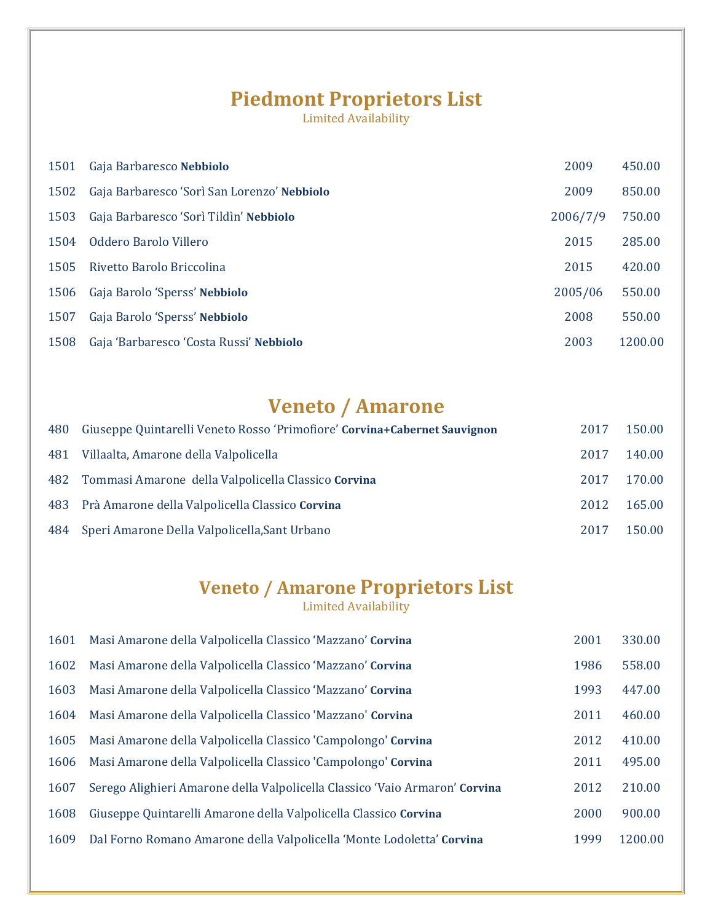#### **Piedmont Proprietors List**

Limited Availability

| 1501 | Gaja Barbaresco Nebbiolo                    | 2009     | 450.00  |
|------|---------------------------------------------|----------|---------|
| 1502 | Gaja Barbaresco 'Sorì San Lorenzo' Nebbiolo | 2009     | 850.00  |
| 1503 | Gaja Barbaresco 'Sorì Tildìn' Nebbiolo      | 2006/7/9 | 750.00  |
| 1504 | Oddero Barolo Villero                       | 2015     | 285.00  |
| 1505 | Rivetto Barolo Briccolina                   | 2015     | 420.00  |
| 1506 | Gaja Barolo 'Sperss' Nebbiolo               | 2005/06  | 550.00  |
| 1507 | Gaja Barolo 'Sperss' Nebbiolo               | 2008     | 550.00  |
| 1508 | Gaja 'Barbaresco 'Costa Russi' Nebbiolo     | 2003     | 1200.00 |
|      |                                             |          |         |

### **Veneto / Amarone**

| 480 | Giuseppe Quintarelli Veneto Rosso 'Primofiore' Corvina+Cabernet Sauvignon | 2017 | 150.00 |
|-----|---------------------------------------------------------------------------|------|--------|
|     | 481 Villaalta, Amarone della Valpolicella                                 | 2017 | 140.00 |
|     | 482 Tommasi Amarone della Valpolicella Classico Corvina                   | 2017 | 170.00 |
|     | 483 Prà Amarone della Valpolicella Classico Corvina                       | 2012 | 165.00 |
|     | 484 Speri Amarone Della Valpolicella, Sant Urbano                         | 2017 | 150.00 |

# **Veneto / Amarone Proprietors List**

| 1601 | Masi Amarone della Valpolicella Classico 'Mazzano' Corvina                  | 2001 | 330.00  |
|------|-----------------------------------------------------------------------------|------|---------|
| 1602 | Masi Amarone della Valpolicella Classico 'Mazzano' Corvina                  | 1986 | 558.00  |
| 1603 | Masi Amarone della Valpolicella Classico 'Mazzano' Corvina                  | 1993 | 447.00  |
| 1604 | Masi Amarone della Valpolicella Classico 'Mazzano' Corvina                  | 2011 | 460.00  |
| 1605 | Masi Amarone della Valpolicella Classico 'Campolongo' Corvina               | 2012 | 410.00  |
| 1606 | Masi Amarone della Valpolicella Classico 'Campolongo' Corvina               | 2011 | 495.00  |
| 1607 | Serego Alighieri Amarone della Valpolicella Classico 'Vaio Armaron' Corvina | 2012 | 210.00  |
| 1608 | Giuseppe Quintarelli Amarone della Valpolicella Classico Corvina            | 2000 | 900.00  |
| 1609 | Dal Forno Romano Amarone della Valpolicella 'Monte Lodoletta' Corvina       | 1999 | 1200.00 |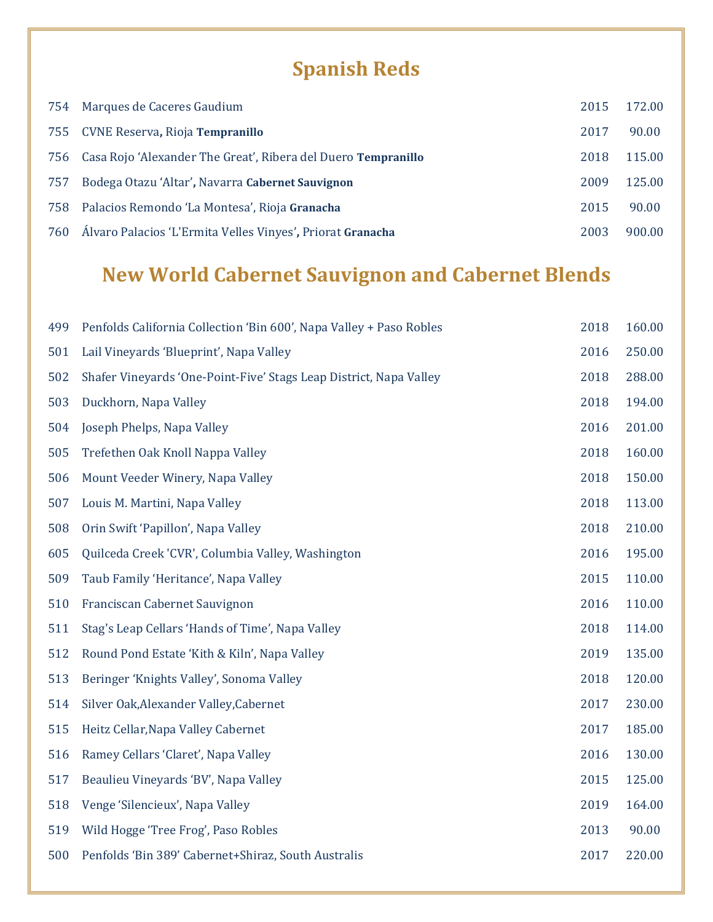# **Spanish Reds**

|     | 754 Marques de Caceres Gaudium                                    | 2015 | 172.00 |
|-----|-------------------------------------------------------------------|------|--------|
|     | 755 CVNE Reserva, Rioja Tempranillo                               | 2017 | 90.00  |
|     | 756 Casa Rojo 'Alexander The Great', Ribera del Duero Tempranillo | 2018 | 115.00 |
| 757 | Bodega Otazu 'Altar', Navarra Cabernet Sauvignon                  | 2009 | 125.00 |
| 758 | Palacios Remondo 'La Montesa', Rioja Granacha                     | 2015 | 90.00  |
| 760 | Álvaro Palacios 'L'Ermita Velles Vinyes', Priorat Granacha        | 2003 | 900.00 |

# **New World Cabernet Sauvignon and Cabernet Blends**

| Penfolds California Collection 'Bin 600', Napa Valley + Paso Robles | 2018 | 160.00 |
|---------------------------------------------------------------------|------|--------|
| Lail Vineyards 'Blueprint', Napa Valley                             | 2016 | 250.00 |
| Shafer Vineyards 'One-Point-Five' Stags Leap District, Napa Valley  | 2018 | 288.00 |
| Duckhorn, Napa Valley                                               | 2018 | 194.00 |
| Joseph Phelps, Napa Valley                                          | 2016 | 201.00 |
| Trefethen Oak Knoll Nappa Valley                                    | 2018 | 160.00 |
| Mount Veeder Winery, Napa Valley                                    | 2018 | 150.00 |
| Louis M. Martini, Napa Valley                                       | 2018 | 113.00 |
| Orin Swift 'Papillon', Napa Valley                                  | 2018 | 210.00 |
| Quilceda Creek 'CVR', Columbia Valley, Washington                   | 2016 | 195.00 |
| Taub Family 'Heritance', Napa Valley                                | 2015 | 110.00 |
| Franciscan Cabernet Sauvignon                                       | 2016 | 110.00 |
| Stag's Leap Cellars 'Hands of Time', Napa Valley                    | 2018 | 114.00 |
| Round Pond Estate 'Kith & Kiln', Napa Valley                        | 2019 | 135.00 |
| Beringer 'Knights Valley', Sonoma Valley                            | 2018 | 120.00 |
| Silver Oak, Alexander Valley, Cabernet                              | 2017 | 230.00 |
| Heitz Cellar, Napa Valley Cabernet                                  | 2017 | 185.00 |
| Ramey Cellars 'Claret', Napa Valley                                 | 2016 | 130.00 |
| Beaulieu Vineyards 'BV', Napa Valley                                | 2015 | 125.00 |
| Venge 'Silencieux', Napa Valley                                     | 2019 | 164.00 |
| Wild Hogge 'Tree Frog', Paso Robles                                 | 2013 | 90.00  |
| Penfolds 'Bin 389' Cabernet+Shiraz, South Australis                 | 2017 | 220.00 |
|                                                                     |      |        |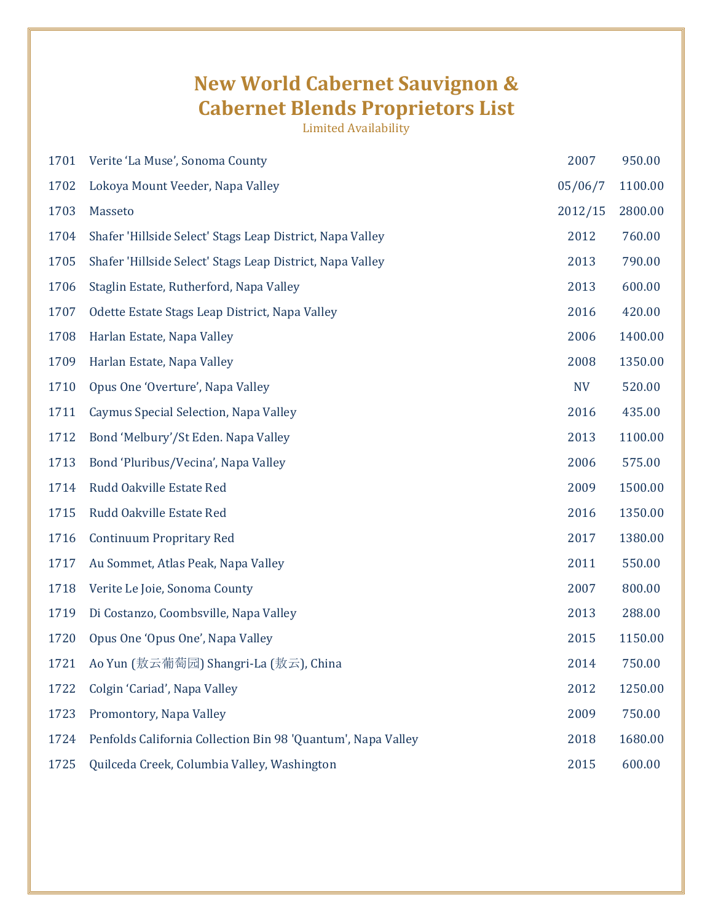### **New World Cabernet Sauvignon & Cabernet Blends Proprietors List**

| 1701 | Verite 'La Muse', Sonoma County                              | 2007      | 950.00  |
|------|--------------------------------------------------------------|-----------|---------|
| 1702 | Lokoya Mount Veeder, Napa Valley                             | 05/06/7   | 1100.00 |
| 1703 | Masseto                                                      | 2012/15   | 2800.00 |
| 1704 | Shafer 'Hillside Select' Stags Leap District, Napa Valley    | 2012      | 760.00  |
| 1705 | Shafer 'Hillside Select' Stags Leap District, Napa Valley    | 2013      | 790.00  |
| 1706 | Staglin Estate, Rutherford, Napa Valley                      | 2013      | 600.00  |
| 1707 | Odette Estate Stags Leap District, Napa Valley               | 2016      | 420.00  |
| 1708 | Harlan Estate, Napa Valley                                   | 2006      | 1400.00 |
| 1709 | Harlan Estate, Napa Valley                                   | 2008      | 1350.00 |
| 1710 | Opus One 'Overture', Napa Valley                             | <b>NV</b> | 520.00  |
| 1711 | Caymus Special Selection, Napa Valley                        | 2016      | 435.00  |
| 1712 | Bond 'Melbury'/St Eden. Napa Valley                          | 2013      | 1100.00 |
| 1713 | Bond 'Pluribus/Vecina', Napa Valley                          | 2006      | 575.00  |
| 1714 | Rudd Oakville Estate Red                                     | 2009      | 1500.00 |
| 1715 | Rudd Oakville Estate Red                                     | 2016      | 1350.00 |
| 1716 | <b>Continuum Propritary Red</b>                              | 2017      | 1380.00 |
| 1717 | Au Sommet, Atlas Peak, Napa Valley                           | 2011      | 550.00  |
| 1718 | Verite Le Joie, Sonoma County                                | 2007      | 800.00  |
| 1719 | Di Costanzo, Coombsville, Napa Valley                        | 2013      | 288.00  |
| 1720 | Opus One 'Opus One', Napa Valley                             | 2015      | 1150.00 |
| 1721 | Ao Yun (敖云葡萄园) Shangri-La (敖云), China                        | 2014      | 750.00  |
| 1722 | Colgin 'Cariad', Napa Valley                                 | 2012      | 1250.00 |
| 1723 | Promontory, Napa Valley                                      | 2009      | 750.00  |
| 1724 | Penfolds California Collection Bin 98 'Quantum', Napa Valley | 2018      | 1680.00 |
| 1725 | Quilceda Creek, Columbia Valley, Washington                  | 2015      | 600.00  |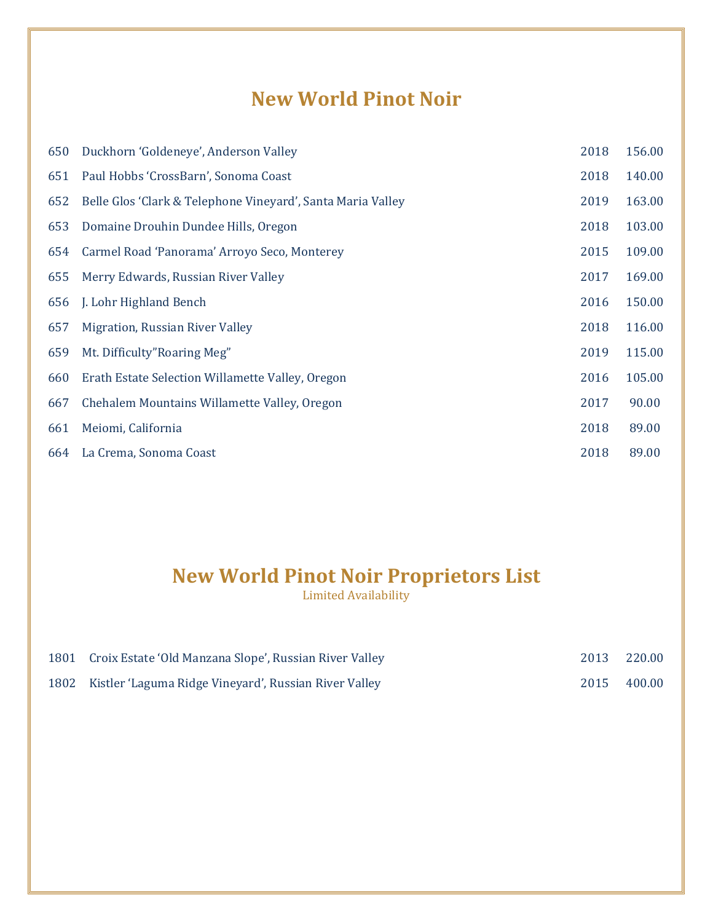### **New World Pinot Noir**

| 650 | Duckhorn 'Goldeneye', Anderson Valley                       | 2018 | 156.00 |
|-----|-------------------------------------------------------------|------|--------|
| 651 | Paul Hobbs 'CrossBarn', Sonoma Coast                        | 2018 | 140.00 |
| 652 | Belle Glos 'Clark & Telephone Vineyard', Santa Maria Valley | 2019 | 163.00 |
| 653 | Domaine Drouhin Dundee Hills, Oregon                        | 2018 | 103.00 |
| 654 | Carmel Road 'Panorama' Arroyo Seco, Monterey                | 2015 | 109.00 |
| 655 | Merry Edwards, Russian River Valley                         | 2017 | 169.00 |
| 656 | J. Lohr Highland Bench                                      | 2016 | 150.00 |
| 657 | Migration, Russian River Valley                             | 2018 | 116.00 |
| 659 | Mt. Difficulty"Roaring Meg"                                 | 2019 | 115.00 |
| 660 | Erath Estate Selection Willamette Valley, Oregon            | 2016 | 105.00 |
| 667 | Chehalem Mountains Willamette Valley, Oregon                | 2017 | 90.00  |
| 661 | Meiomi, California                                          | 2018 | 89.00  |
| 664 | La Crema, Sonoma Coast                                      | 2018 | 89.00  |

#### **New World Pinot Noir Proprietors List**

| 1801 Croix Estate 'Old Manzana Slope', Russian River Valley |      | 2013 220.00 |
|-------------------------------------------------------------|------|-------------|
| 1802 Kistler 'Laguma Ridge Vineyard', Russian River Valley  | 2015 | 400.00      |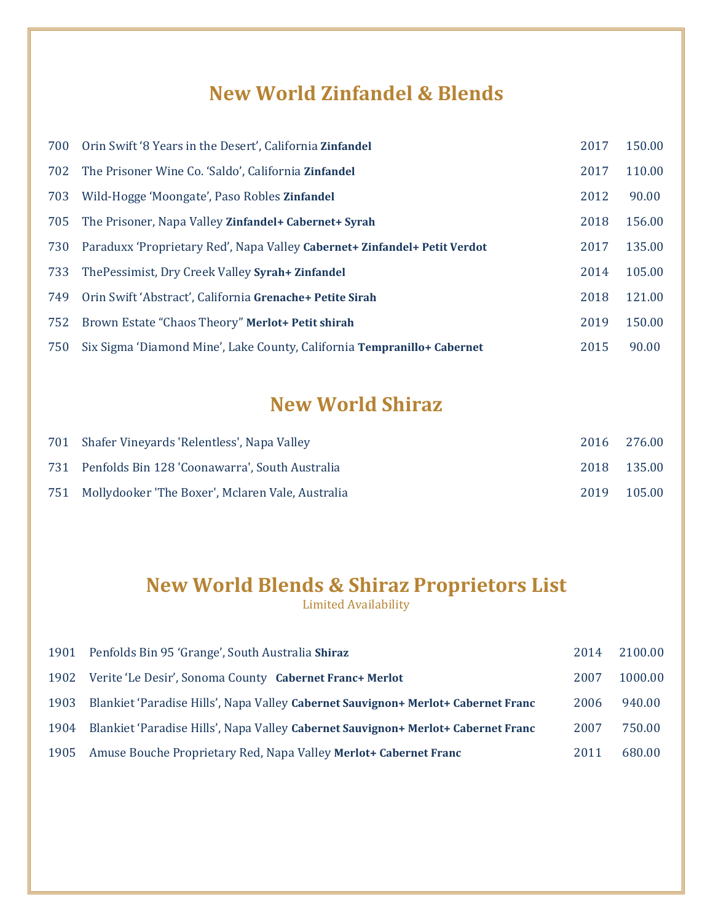### **New World Zinfandel & Blends**

| 700 | Orin Swift '8 Years in the Desert', California Zinfandel                  | 2017 | 150.00 |
|-----|---------------------------------------------------------------------------|------|--------|
| 702 | The Prisoner Wine Co. 'Saldo', California <b>Zinfandel</b>                | 2017 | 110.00 |
| 703 | Wild-Hogge 'Moongate', Paso Robles Zinfandel                              | 2012 | 90.00  |
| 705 | The Prisoner, Napa Valley Zinfandel+ Cabernet+ Syrah                      | 2018 | 156.00 |
| 730 | Paraduxx 'Proprietary Red', Napa Valley Cabernet+ Zinfandel+ Petit Verdot | 2017 | 135.00 |
| 733 | The Pessimist, Dry Creek Valley Syrah + Zinfandel                         | 2014 | 105.00 |
| 749 | Orin Swift 'Abstract', California Grenache+ Petite Sirah                  | 2018 | 121.00 |
| 752 | Brown Estate "Chaos Theory" Merlot+ Petit shirah                          | 2019 | 150.00 |
| 750 | Six Sigma 'Diamond Mine', Lake County, California Tempranillo+ Cabernet   | 2015 | 90.00  |

## **New World Shiraz**

| 701 Shafer Vineyards 'Relentless', Napa Valley       | 2016 276.00 |
|------------------------------------------------------|-------------|
| 731 Penfolds Bin 128 'Coonawarra', South Australia   | 2018 135.00 |
| 751 Mollydooker 'The Boxer', Mclaren Vale, Australia | 2019 105.00 |

## **New World Blends & Shiraz Proprietors List**

|      | 1901 Penfolds Bin 95 'Grange', South Australia Shiraz                             | 2014 | 2100.00 |
|------|-----------------------------------------------------------------------------------|------|---------|
|      | 1902 Verite 'Le Desir', Sonoma County Cabernet Franc+ Merlot                      | 2007 | 1000.00 |
| 1903 | Blankiet 'Paradise Hills', Napa Valley Cabernet Sauvignon+ Merlot+ Cabernet Franc | 2006 | 940.00  |
| 1904 | Blankiet 'Paradise Hills', Napa Valley Cabernet Sauvignon+ Merlot+ Cabernet Franc | 2007 | 750.00  |
|      | 1905 Amuse Bouche Proprietary Red, Napa Valley Merlot+ Cabernet Franc             | 2011 | 680.00  |